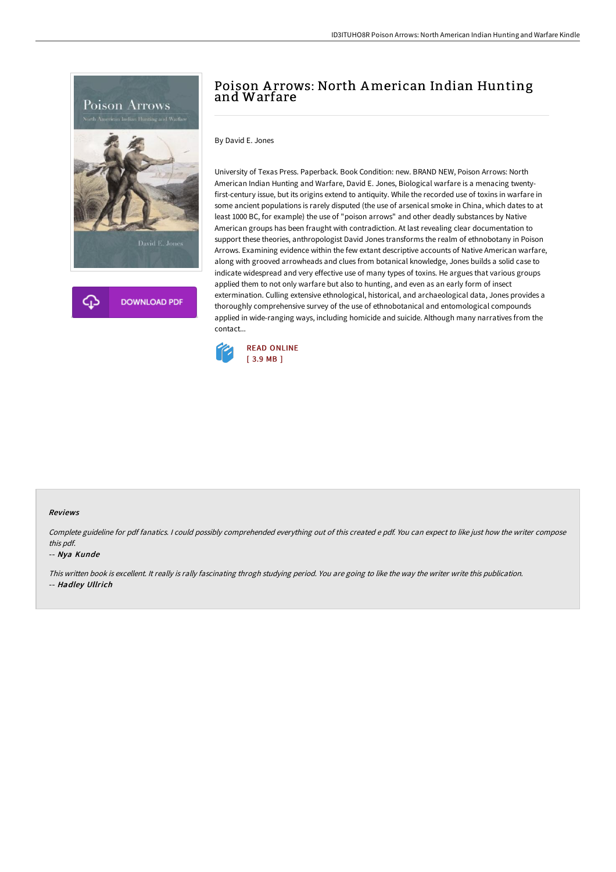



## Poison A rrows: North American Indian Hunting and Warfare

By David E. Jones

University of Texas Press. Paperback. Book Condition: new. BRAND NEW, Poison Arrows: North American Indian Hunting and Warfare, David E. Jones, Biological warfare is a menacing twentyfirst-century issue, but its origins extend to antiquity. While the recorded use of toxins in warfare in some ancient populations is rarely disputed (the use of arsenical smoke in China, which dates to at least 1000 BC, for example) the use of "poison arrows" and other deadly substances by Native American groups has been fraught with contradiction. At last revealing clear documentation to support these theories, anthropologist David Jones transforms the realm of ethnobotany in Poison Arrows. Examining evidence within the few extant descriptive accounts of Native American warfare, along with grooved arrowheads and clues from botanical knowledge, Jones builds a solid case to indicate widespread and very effective use of many types of toxins. He argues that various groups applied them to not only warfare but also to hunting, and even as an early form of insect extermination. Culling extensive ethnological, historical, and archaeological data, Jones provides a thoroughly comprehensive survey of the use of ethnobotanical and entomological compounds applied in wide-ranging ways, including homicide and suicide. Although many narratives from the contact...



## Reviews

Complete guideline for pdf fanatics. <sup>I</sup> could possibly comprehended everything out of this created <sup>e</sup> pdf. You can expect to like just how the writer compose this pdf.

## -- Nya Kunde

This written book is excellent. It really is rally fascinating throgh studying period. You are going to like the way the writer write this publication. -- Hadley Ullrich